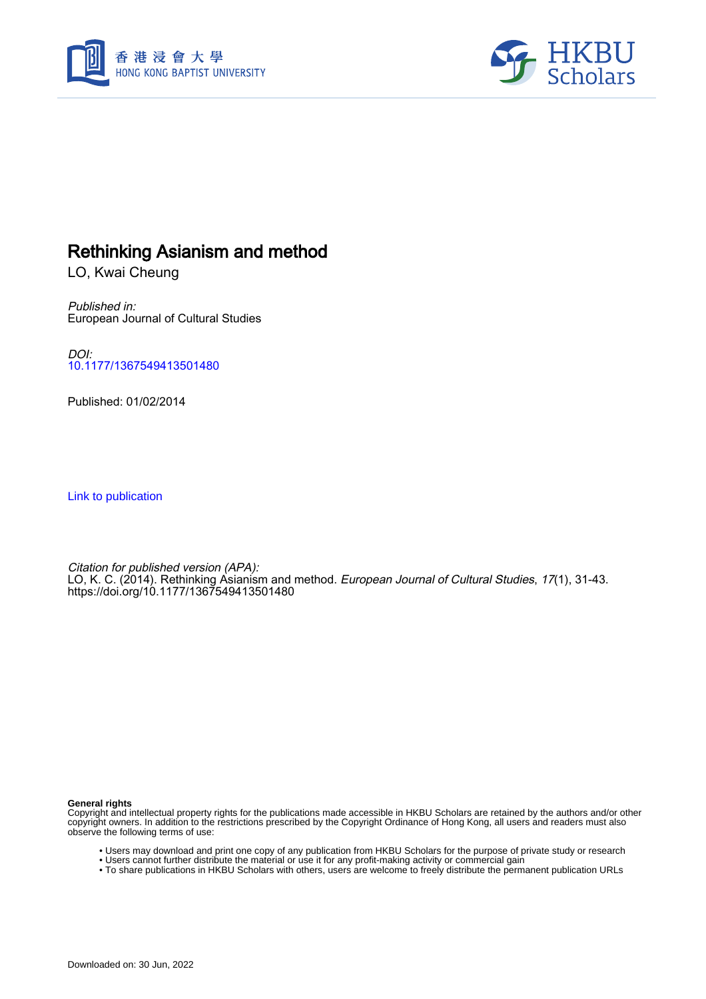



# Rethinking Asianism and method

LO, Kwai Cheung

Published in: European Journal of Cultural Studies

DOI: [10.1177/1367549413501480](https://doi.org/10.1177/1367549413501480)

Published: 01/02/2014

[Link to publication](https://scholars.hkbu.edu.hk/en/publications/3627d554-8b8c-4ea6-9481-8fb3f0e7277c)

Citation for published version (APA): LO, K. C. (2014). Rethinking Asianism and method. European Journal of Cultural Studies, 17(1), 31-43. <https://doi.org/10.1177/1367549413501480>

**General rights**

Copyright and intellectual property rights for the publications made accessible in HKBU Scholars are retained by the authors and/or other copyright owners. In addition to the restrictions prescribed by the Copyright Ordinance of Hong Kong, all users and readers must also observe the following terms of use:

- Users may download and print one copy of any publication from HKBU Scholars for the purpose of private study or research
- Users cannot further distribute the material or use it for any profit-making activity or commercial gain
- To share publications in HKBU Scholars with others, users are welcome to freely distribute the permanent publication URLs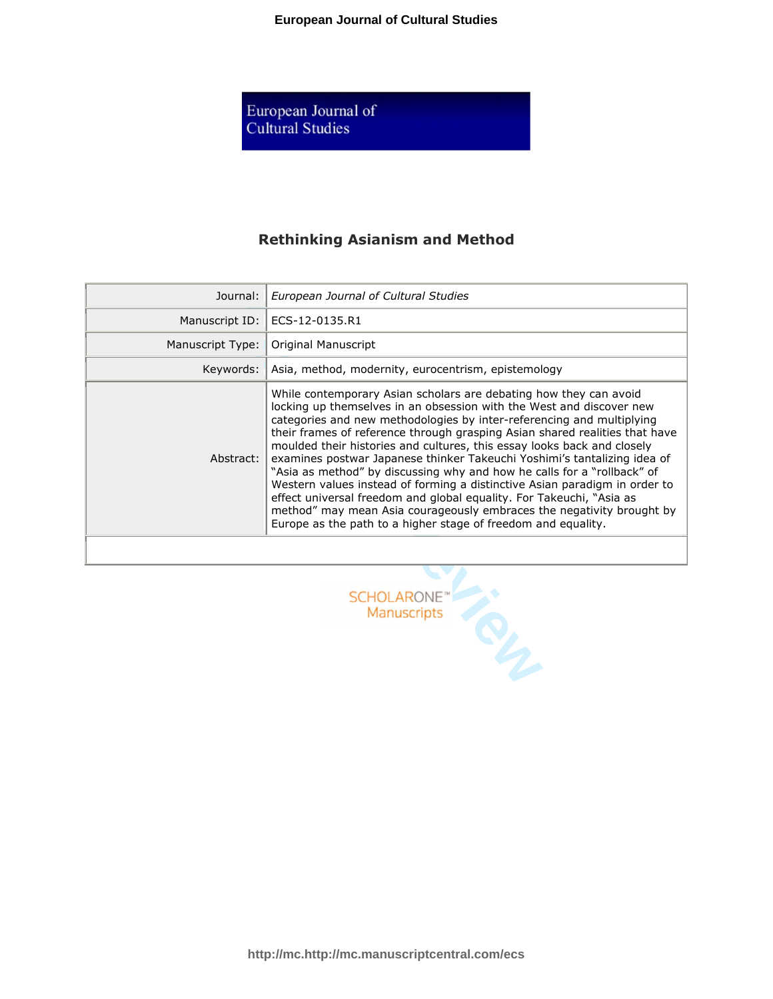European Journal of<br>Cultural Studies

## **Rethinking Asianism and Method**

| Journal:                                | European Journal of Cultural Studies                                                                                                                                                                                                                                                                                                                                                                                                                                                                                                                                                                                                                                                                                                                                                                                                |
|-----------------------------------------|-------------------------------------------------------------------------------------------------------------------------------------------------------------------------------------------------------------------------------------------------------------------------------------------------------------------------------------------------------------------------------------------------------------------------------------------------------------------------------------------------------------------------------------------------------------------------------------------------------------------------------------------------------------------------------------------------------------------------------------------------------------------------------------------------------------------------------------|
| Manuscript ID:                          | ECS-12-0135.R1                                                                                                                                                                                                                                                                                                                                                                                                                                                                                                                                                                                                                                                                                                                                                                                                                      |
| Manuscript Type:                        | Original Manuscript                                                                                                                                                                                                                                                                                                                                                                                                                                                                                                                                                                                                                                                                                                                                                                                                                 |
| Keywords:                               | Asia, method, modernity, eurocentrism, epistemology                                                                                                                                                                                                                                                                                                                                                                                                                                                                                                                                                                                                                                                                                                                                                                                 |
| Abstract:                               | While contemporary Asian scholars are debating how they can avoid<br>locking up themselves in an obsession with the West and discover new<br>categories and new methodologies by inter-referencing and multiplying<br>their frames of reference through grasping Asian shared realities that have<br>moulded their histories and cultures, this essay looks back and closely<br>examines postwar Japanese thinker Takeuchi Yoshimi's tantalizing idea of<br>"Asia as method" by discussing why and how he calls for a "rollback" of<br>Western values instead of forming a distinctive Asian paradigm in order to<br>effect universal freedom and global equality. For Takeuchi, "Asia as<br>method" may mean Asia courageously embraces the negativity brought by<br>Europe as the path to a higher stage of freedom and equality. |
|                                         |                                                                                                                                                                                                                                                                                                                                                                                                                                                                                                                                                                                                                                                                                                                                                                                                                                     |
| <b>SCHOLARONE</b><br><b>Manuscripts</b> |                                                                                                                                                                                                                                                                                                                                                                                                                                                                                                                                                                                                                                                                                                                                                                                                                                     |

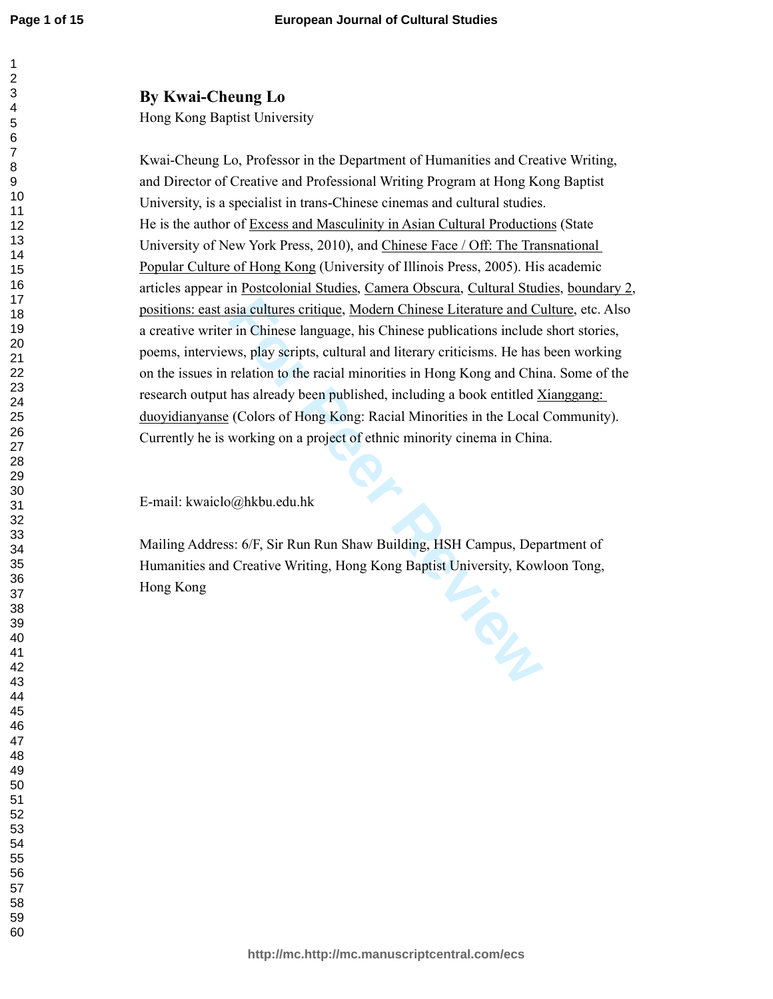## **By Kwai-Cheung Lo**

Hong Kong Baptist University

isia cultures critique, Modern Chinese Literature and Cu<br>
in Chinese language, his Chinese publications include<br>
ws, play scripts, cultural and literary criticisms. He has<br>
relation to the racial minorities in Hong Kong an Kwai-Cheung Lo, Professor in the Department of Humanities and Creative Writing, and Director of Creative and Professional Writing Program at Hong Kong Baptist University, is a specialist in trans-Chinese cinemas and cultural studies. He is the author of Excess and Masculinity in Asian Cultural Productions (State University of New York Press, 2010), and Chinese Face / Off: The Transnational Popular Culture of Hong Kong (University of Illinois Press, 2005). His academic articles appear in Postcolonial Studies, Camera Obscura, Cultural Studies, boundary 2, positions: east asia cultures critique, Modern Chinese Literature and Culture, etc. Also a creative writer in Chinese language, his Chinese publications include short stories, poems, interviews, play scripts, cultural and literary criticisms. He has been working on the issues in relation to the racial minorities in Hong Kong and China. Some of the research output has already been published, including a book entitled Xianggang: duoyidianyanse (Colors of Hong Kong: Racial Minorities in the Local Community). Currently he is working on a project of ethnic minority cinema in China.

E-mail: kwaiclo@hkbu.edu.hk

Mailing Address: 6/F, Sir Run Run Shaw Building, HSH Campus, Department of Humanities and Creative Writing, Hong Kong Baptist University, Kowloon Tong, Hong Kong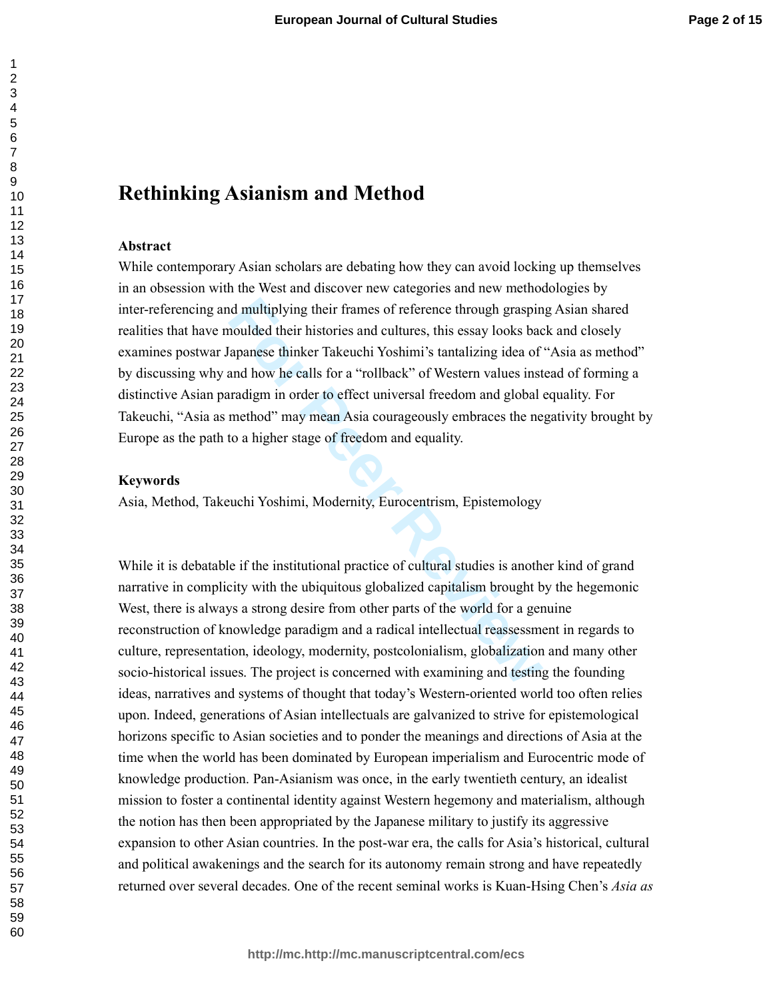## **Rethinking Asianism and Method**

### **Abstract**

In multiplying their frames of reference through graspin<br>
moulded their histories and cultures, this essay looks bac<br>
apanese thinker Takeuchi Yoshimi's tantalizing idea of<br>
and how he calls for a "rollback" of Western val While contemporary Asian scholars are debating how they can avoid locking up themselves in an obsession with the West and discover new categories and new methodologies by inter-referencing and multiplying their frames of reference through grasping Asian shared realities that have moulded their histories and cultures, this essay looks back and closely examines postwar Japanese thinker Takeuchi Yoshimi's tantalizing idea of "Asia as method" by discussing why and how he calls for a "rollback" of Western values instead of forming a distinctive Asian paradigm in order to effect universal freedom and global equality. For Takeuchi, "Asia as method" may mean Asia courageously embraces the negativity brought by Europe as the path to a higher stage of freedom and equality.

### **Keywords**

Asia, Method, Takeuchi Yoshimi, Modernity, Eurocentrism, Epistemology

While it is debatable if the institutional practice of cultural studies is another kind of grand narrative in complicity with the ubiquitous globalized capitalism brought by the hegemonic West, there is always a strong desire from other parts of the world for a genuine reconstruction of knowledge paradigm and a radical intellectual reassessment in regards to culture, representation, ideology, modernity, postcolonialism, globalization and many other socio-historical issues. The project is concerned with examining and testing the founding ideas, narratives and systems of thought that today's Western-oriented world too often relies upon. Indeed, generations of Asian intellectuals are galvanized to strive for epistemological horizons specific to Asian societies and to ponder the meanings and directions of Asia at the time when the world has been dominated by European imperialism and Eurocentric mode of knowledge production. Pan-Asianism was once, in the early twentieth century, an idealist mission to foster a continental identity against Western hegemony and materialism, although the notion has then been appropriated by the Japanese military to justify its aggressive expansion to other Asian countries. In the post-war era, the calls for Asia's historical, cultural and political awakenings and the search for its autonomy remain strong and have repeatedly returned over several decades. One of the recent seminal works is Kuan-Hsing Chen's *Asia as*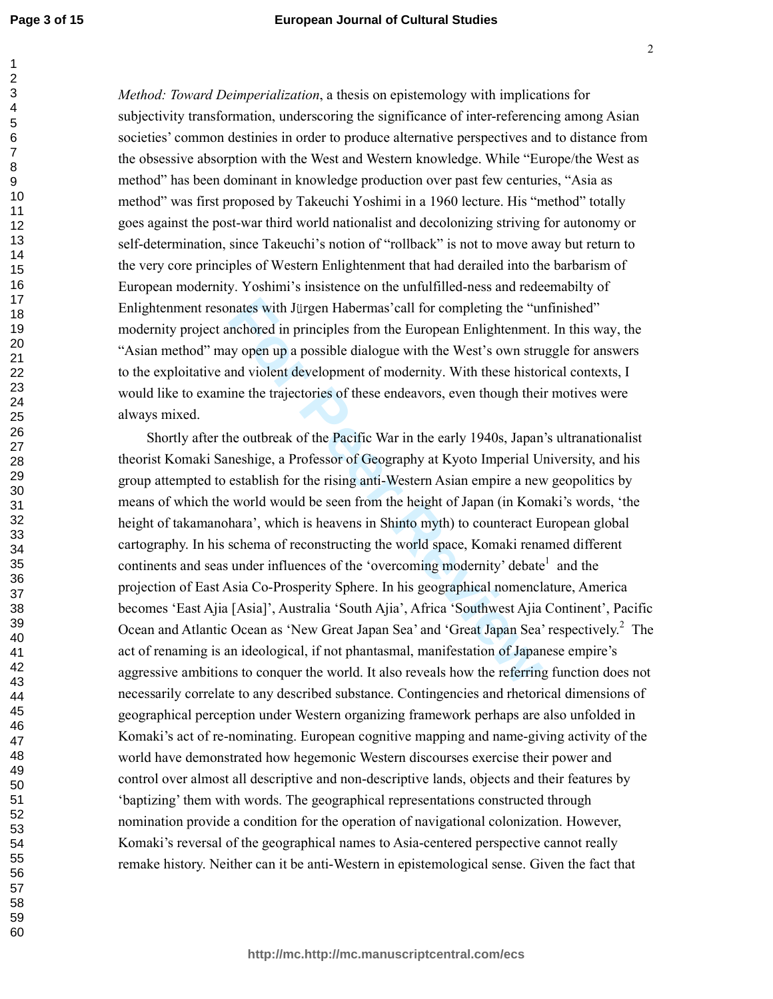*Method: Toward Deimperialization*, a thesis on epistemology with implications for subjectivity transformation, underscoring the significance of inter-referencing among Asian societies' common destinies in order to produce alternative perspectives and to distance from the obsessive absorption with the West and Western knowledge. While "Europe/the West as method" has been dominant in knowledge production over past few centuries, "Asia as method" was first proposed by Takeuchi Yoshimi in a 1960 lecture. His "method" totally goes against the post-war third world nationalist and decolonizing striving for autonomy or self-determination, since Takeuchi's notion of "rollback" is not to move away but return to the very core principles of Western Enlightenment that had derailed into the barbarism of European modernity. Yoshimi's insistence on the unfulfilled-ness and redeemabilty of Enlightenment resonates with J ürgen Habermas'call for completing the "unfinished" modernity project anchored in principles from the European Enlightenment. In this way, the "Asian method" may open up a possible dialogue with the West's own struggle for answers to the exploitative and violent development of modernity. With these historical contexts, I would like to examine the trajectories of these endeavors, even though their motives were always mixed.

nates with Jürgen Habermas' call for completing the "unchored in principles from the European Enlightenmen<br>ny open up a possible dialogue with the West's own stru<br>nd violent development of modernity. With these histor<br>ine Shortly after the outbreak of the Pacific War in the early 1940s, Japan's ultranationalist theorist Komaki Saneshige, a Professor of Geography at Kyoto Imperial University, and his group attempted to establish for the rising anti-Western Asian empire a new geopolitics by means of which the world would be seen from the height of Japan (in Komaki's words, 'the height of takamanohara', which is heavens in Shinto myth) to counteract European global cartography. In his schema of reconstructing the world space, Komaki renamed different continents and seas under influences of the 'overcoming modernity' debate<sup>1</sup> and the projection of East Asia Co-Prosperity Sphere. In his geographical nomenclature, America becomes 'East Ajia [Asia]', Australia 'South Ajia', Africa 'Southwest Ajia Continent', Pacific Ocean and Atlantic Ocean as 'New Great Japan Sea' and 'Great Japan Sea' respectively.<sup>2</sup> The act of renaming is an ideological, if not phantasmal, manifestation of Japanese empire's aggressive ambitions to conquer the world. It also reveals how the referring function does not necessarily correlate to any described substance. Contingencies and rhetorical dimensions of geographical perception under Western organizing framework perhaps are also unfolded in Komaki's act of re-nominating. European cognitive mapping and name-giving activity of the world have demonstrated how hegemonic Western discourses exercise their power and control over almost all descriptive and non-descriptive lands, objects and their features by 'baptizing' them with words. The geographical representations constructed through nomination provide a condition for the operation of navigational colonization. However, Komaki's reversal of the geographical names to Asia-centered perspective cannot really remake history. Neither can it be anti-Western in epistemological sense. Given the fact that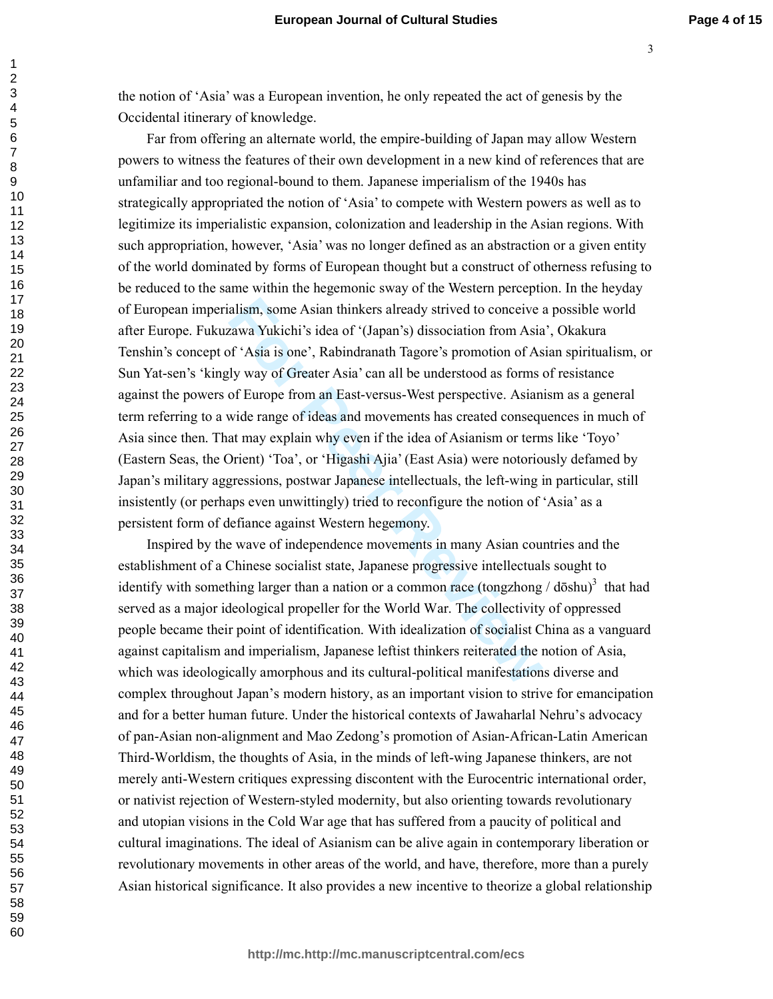the notion of 'Asia' was a European invention, he only repeated the act of genesis by the Occidental itinerary of knowledge.

alism, some Asian thinkers already strived to conceive exawa Yukichi's idea of '(Japan's) dissociation from Asia<br>rawa Yukichi's idea of '(Japan's) dissociation from Asia<br>f 'Asia is one', Rabindranath Tagore's promotion of Far from offering an alternate world, the empire-building of Japan may allow Western powers to witness the features of their own development in a new kind of references that are unfamiliar and too regional-bound to them. Japanese imperialism of the 1940s has strategically appropriated the notion of 'Asia' to compete with Western powers as well as to legitimize its imperialistic expansion, colonization and leadership in the Asian regions. With such appropriation, however, 'Asia' was no longer defined as an abstraction or a given entity of the world dominated by forms of European thought but a construct of otherness refusing to be reduced to the same within the hegemonic sway of the Western perception. In the heyday of European imperialism, some Asian thinkers already strived to conceive a possible world after Europe. Fukuzawa Yukichi's idea of '(Japan's) dissociation from Asia', Okakura Tenshin's concept of 'Asia is one', Rabindranath Tagore's promotion of Asian spiritualism, or Sun Yat-sen's 'kingly way of Greater Asia' can all be understood as forms of resistance against the powers of Europe from an East-versus-West perspective. Asianism as a general term referring to a wide range of ideas and movements has created consequences in much of Asia since then. That may explain why even if the idea of Asianism or terms like 'Toyo' (Eastern Seas, the Orient) 'Toa', or 'Higashi Ajia' (East Asia) were notoriously defamed by Japan's military aggressions, postwar Japanese intellectuals, the left-wing in particular, still insistently (or perhaps even unwittingly) tried to reconfigure the notion of 'Asia' as a persistent form of defiance against Western hegemony.

Inspired by the wave of independence movements in many Asian countries and the establishment of a Chinese socialist state, Japanese progressive intellectuals sought to identify with something larger than a nation or a common race (tongzhong  $/$  dōshu)<sup>3</sup> that had served as a major ideological propeller for the World War. The collectivity of oppressed people became their point of identification. With idealization of socialist China as a vanguard against capitalism and imperialism, Japanese leftist thinkers reiterated the notion of Asia, which was ideologically amorphous and its cultural-political manifestations diverse and complex throughout Japan's modern history, as an important vision to strive for emancipation and for a better human future. Under the historical contexts of Jawaharlal Nehru's advocacy of pan-Asian non-alignment and Mao Zedong's promotion of Asian-African-Latin American Third-Worldism, the thoughts of Asia, in the minds of left-wing Japanese thinkers, are not merely anti-Western critiques expressing discontent with the Eurocentric international order, or nativist rejection of Western-styled modernity, but also orienting towards revolutionary and utopian visions in the Cold War age that has suffered from a paucity of political and cultural imaginations. The ideal of Asianism can be alive again in contemporary liberation or revolutionary movements in other areas of the world, and have, therefore, more than a purely Asian historical significance. It also provides a new incentive to theorize a global relationship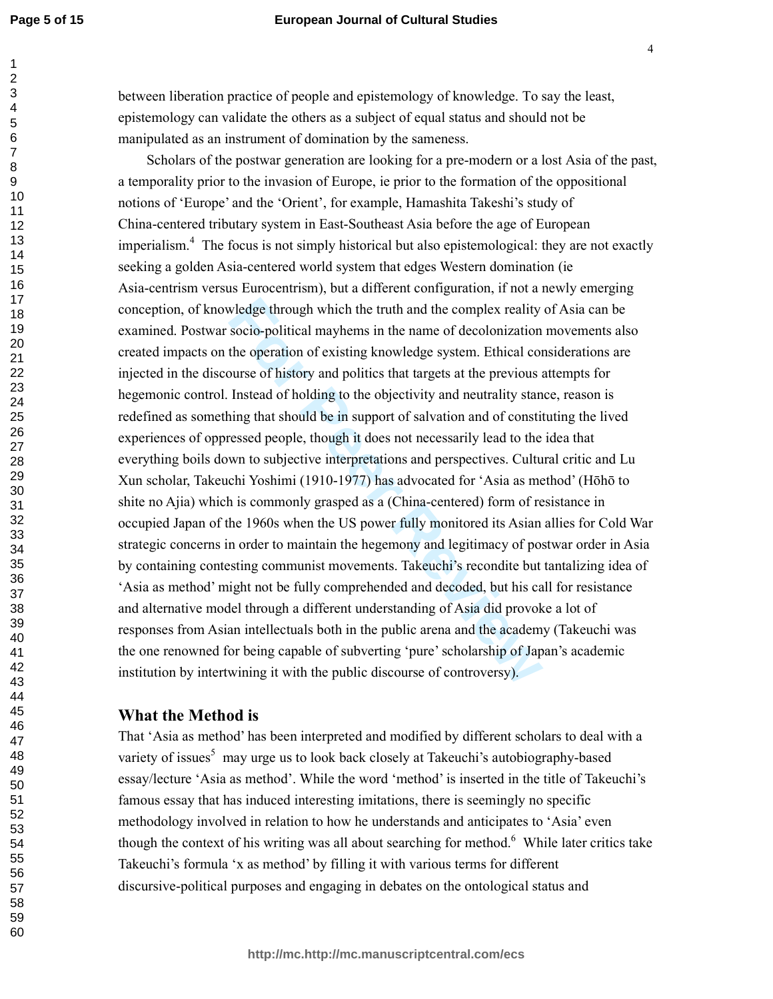#### **European Journal of Cultural Studies**

between liberation practice of people and epistemology of knowledge. To say the least, epistemology can validate the others as a subject of equal status and should not be manipulated as an instrument of domination by the sameness.

wledge through which the truth and the complex reality socio-political mayhems in the name of decolonization the operation of existing knowledge system. Ethical colourse of history and politics that targets at the previous Scholars of the postwar generation are looking for a pre-modern or a lost Asia of the past, a temporality prior to the invasion of Europe, ie prior to the formation of the oppositional notions of 'Europe' and the 'Orient', for example, Hamashita Takeshi's study of China-centered tributary system in East-Southeast Asia before the age of European imperialism.<sup>4</sup> The focus is not simply historical but also epistemological: they are not exactly seeking a golden Asia-centered world system that edges Western domination (ie Asia-centrism versus Eurocentrism), but a different configuration, if not a newly emerging conception, of knowledge through which the truth and the complex reality of Asia can be examined. Postwar socio-political mayhems in the name of decolonization movements also created impacts on the operation of existing knowledge system. Ethical considerations are injected in the discourse of history and politics that targets at the previous attempts for hegemonic control. Instead of holding to the objectivity and neutrality stance, reason is redefined as something that should be in support of salvation and of constituting the lived experiences of oppressed people, though it does not necessarily lead to the idea that everything boils down to subjective interpretations and perspectives. Cultural critic and Lu Xun scholar, Takeuchi Yoshimi (1910-1977) has advocated for 'Asia as method' (Hōhō to shite no Ajia) which is commonly grasped as a (China-centered) form of resistance in occupied Japan of the 1960s when the US power fully monitored its Asian allies for Cold War strategic concerns in order to maintain the hegemony and legitimacy of postwar order in Asia by containing contesting communist movements. Takeuchi's recondite but tantalizing idea of 'Asia as method' might not be fully comprehended and decoded, but his call for resistance and alternative model through a different understanding of Asia did provoke a lot of responses from Asian intellectuals both in the public arena and the academy (Takeuchi was the one renowned for being capable of subverting 'pure' scholarship of Japan's academic institution by intertwining it with the public discourse of controversy).

### **What the Method is**

That 'Asia as method' has been interpreted and modified by different scholars to deal with a variety of issues<sup>5</sup> may urge us to look back closely at Takeuchi's autobiography-based essay/lecture 'Asia as method'. While the word 'method' is inserted in the title of Takeuchi's famous essay that has induced interesting imitations, there is seemingly no specific methodology involved in relation to how he understands and anticipates to 'Asia' even though the context of his writing was all about searching for method.<sup>6</sup> While later critics take Takeuchi's formula 'x as method' by filling it with various terms for different discursive-political purposes and engaging in debates on the ontological status and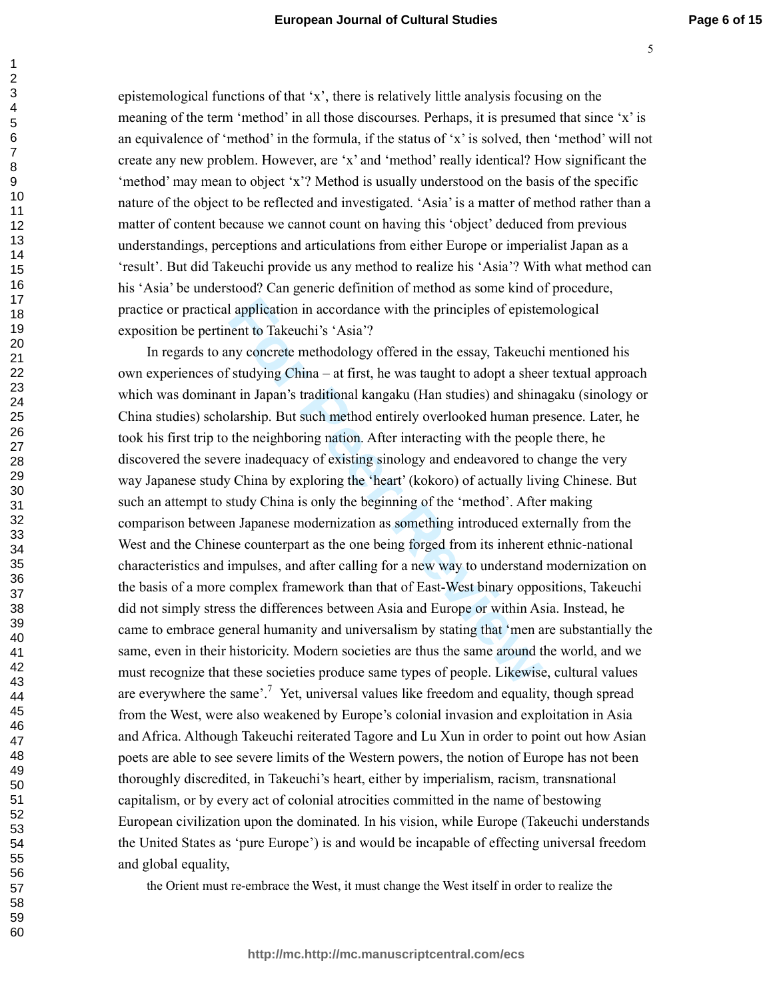epistemological functions of that 'x', there is relatively little analysis focusing on the meaning of the term 'method' in all those discourses. Perhaps, it is presumed that since 'x' is an equivalence of 'method' in the formula, if the status of 'x' is solved, then 'method' will not create any new problem. However, are 'x' and 'method' really identical? How significant the 'method' may mean to object 'x'? Method is usually understood on the basis of the specific nature of the object to be reflected and investigated. 'Asia' is a matter of method rather than a matter of content because we cannot count on having this 'object' deduced from previous understandings, perceptions and articulations from either Europe or imperialist Japan as a 'result'. But did Takeuchi provide us any method to realize his 'Asia'? With what method can his 'Asia' be understood? Can generic definition of method as some kind of procedure, practice or practical application in accordance with the principles of epistemological exposition be pertinent to Takeuchi's 'Asia'?

I application in accordance with the principles of epistement to Takeuchi's 'Asia'?<br>
my concrete methodology offered in the essay, Takeuchi<br>
studying China – at first, he was taught to adopt a shee<br>
it in Japan's tradition In regards to any concrete methodology offered in the essay, Takeuchi mentioned his own experiences of studying China – at first, he was taught to adopt a sheer textual approach which was dominant in Japan's traditional kangaku (Han studies) and shinagaku (sinology or China studies) scholarship. But such method entirely overlooked human presence. Later, he took his first trip to the neighboring nation. After interacting with the people there, he discovered the severe inadequacy of existing sinology and endeavored to change the very way Japanese study China by exploring the 'heart' (kokoro) of actually living Chinese. But such an attempt to study China is only the beginning of the 'method'. After making comparison between Japanese modernization as something introduced externally from the West and the Chinese counterpart as the one being forged from its inherent ethnic-national characteristics and impulses, and after calling for a new way to understand modernization on the basis of a more complex framework than that of East-West binary oppositions, Takeuchi did not simply stress the differences between Asia and Europe or within Asia. Instead, he came to embrace general humanity and universalism by stating that 'men are substantially the same, even in their historicity. Modern societies are thus the same around the world, and we must recognize that these societies produce same types of people. Likewise, cultural values are everywhere the same'.<sup>7</sup> Yet, universal values like freedom and equality, though spread from the West, were also weakened by Europe's colonial invasion and exploitation in Asia and Africa. Although Takeuchi reiterated Tagore and Lu Xun in order to point out how Asian poets are able to see severe limits of the Western powers, the notion of Europe has not been thoroughly discredited, in Takeuchi's heart, either by imperialism, racism, transnational capitalism, or by every act of colonial atrocities committed in the name of bestowing European civilization upon the dominated. In his vision, while Europe (Takeuchi understands the United States as 'pure Europe') is and would be incapable of effecting universal freedom and global equality,

the Orient must re-embrace the West, it must change the West itself in order to realize the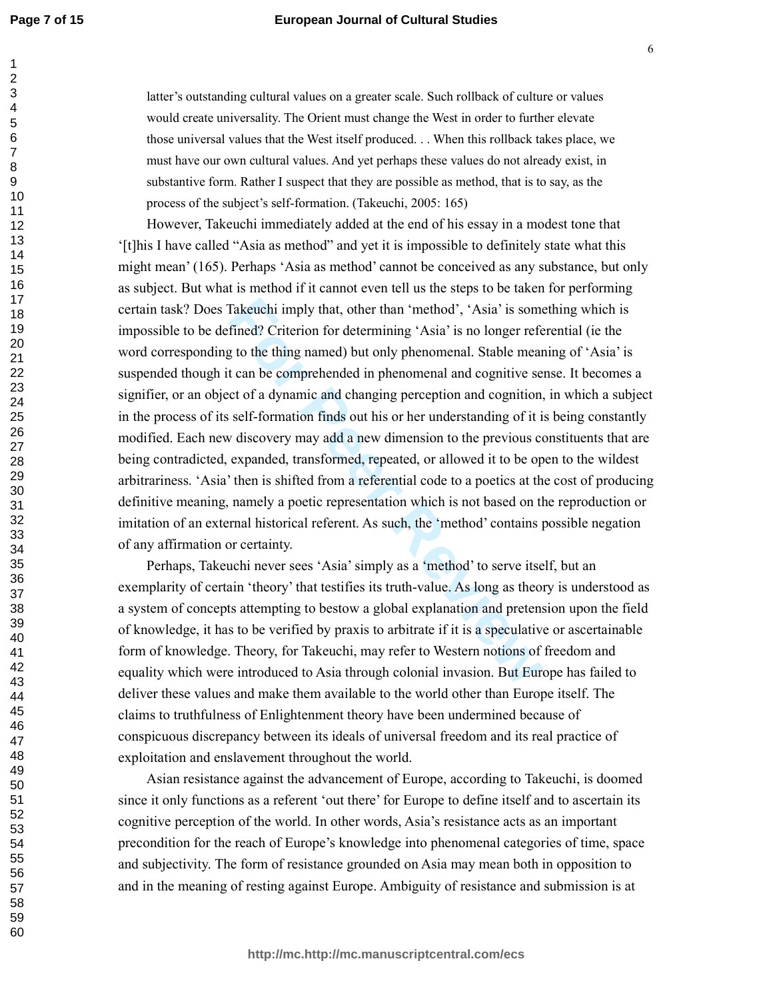latter's outstanding cultural values on a greater scale. Such rollback of culture or values would create universality. The Orient must change the West in order to further elevate those universal values that the West itself produced. . . When this rollback takes place, we must have our own cultural values. And yet perhaps these values do not already exist, in substantive form. Rather I suspect that they are possible as method, that is to say, as the process of the subject's self-formation. (Takeuchi, 2005: 165)

Takeuchi imply that, other than 'method', 'Asia' is somewhichtical? Criterion for determining 'Asia' is no longer refers to the thing named) but only phenomenal. Stable meant can be comprehended in phenomenal and cognitive However, Takeuchi immediately added at the end of his essay in a modest tone that '[t]his I have called "Asia as method" and yet it is impossible to definitely state what this might mean' (165). Perhaps 'Asia as method' cannot be conceived as any substance, but only as subject. But what is method if it cannot even tell us the steps to be taken for performing certain task? Does Takeuchi imply that, other than 'method', 'Asia' is something which is impossible to be defined? Criterion for determining 'Asia' is no longer referential (ie the word corresponding to the thing named) but only phenomenal. Stable meaning of 'Asia' is suspended though it can be comprehended in phenomenal and cognitive sense. It becomes a signifier, or an object of a dynamic and changing perception and cognition, in which a subject in the process of its self-formation finds out his or her understanding of it is being constantly modified. Each new discovery may add a new dimension to the previous constituents that are being contradicted, expanded, transformed, repeated, or allowed it to be open to the wildest arbitrariness. 'Asia' then is shifted from a referential code to a poetics at the cost of producing definitive meaning, namely a poetic representation which is not based on the reproduction or imitation of an external historical referent. As such, the 'method' contains possible negation of any affirmation or certainty.

Perhaps, Takeuchi never sees 'Asia' simply as a 'method' to serve itself, but an exemplarity of certain 'theory' that testifies its truth-value. As long as theory is understood as a system of concepts attempting to bestow a global explanation and pretension upon the field of knowledge, it has to be verified by praxis to arbitrate if it is a speculative or ascertainable form of knowledge. Theory, for Takeuchi, may refer to Western notions of freedom and equality which were introduced to Asia through colonial invasion. But Europe has failed to deliver these values and make them available to the world other than Europe itself. The claims to truthfulness of Enlightenment theory have been undermined because of conspicuous discrepancy between its ideals of universal freedom and its real practice of exploitation and enslavement throughout the world.

Asian resistance against the advancement of Europe, according to Takeuchi, is doomed since it only functions as a referent 'out there' for Europe to define itself and to ascertain its cognitive perception of the world. In other words, Asia's resistance acts as an important precondition for the reach of Europe's knowledge into phenomenal categories of time, space and subjectivity. The form of resistance grounded on Asia may mean both in opposition to and in the meaning of resting against Europe. Ambiguity of resistance and submission is at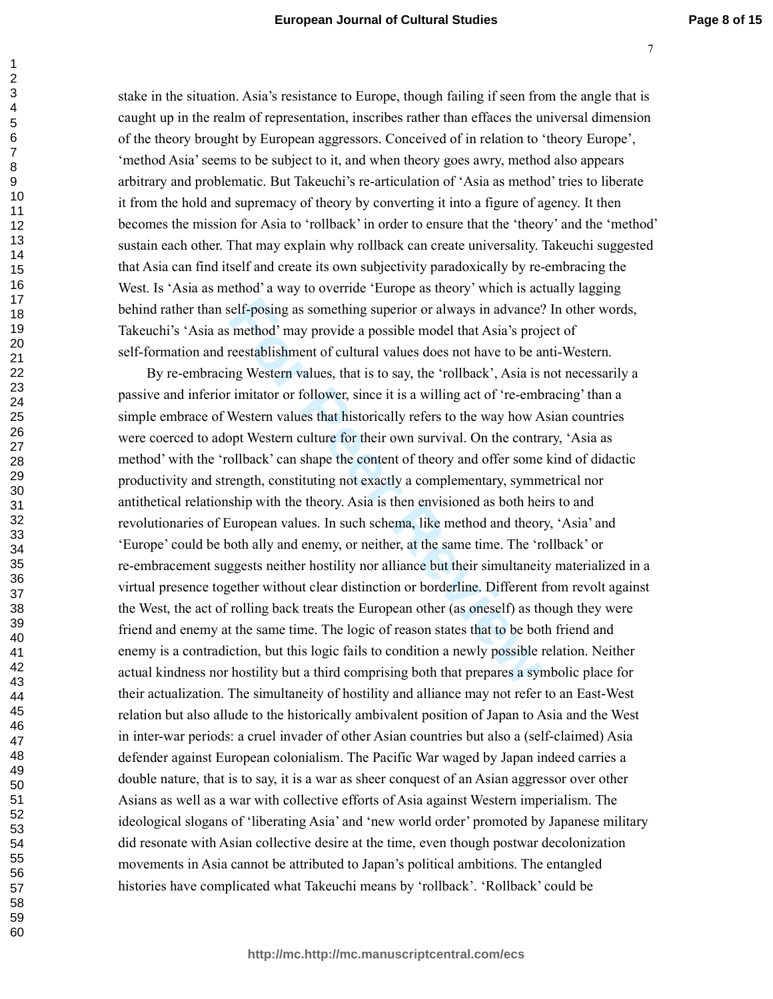stake in the situation. Asia's resistance to Europe, though failing if seen from the angle that is caught up in the realm of representation, inscribes rather than effaces the universal dimension of the theory brought by European aggressors. Conceived of in relation to 'theory Europe', 'method Asia' seems to be subject to it, and when theory goes awry, method also appears arbitrary and problematic. But Takeuchi's re-articulation of 'Asia as method' tries to liberate it from the hold and supremacy of theory by converting it into a figure of agency. It then becomes the mission for Asia to 'rollback' in order to ensure that the 'theory' and the 'method' sustain each other. That may explain why rollback can create universality. Takeuchi suggested that Asia can find itself and create its own subjectivity paradoxically by re-embracing the West. Is 'Asia as method' a way to override 'Europe as theory' which is actually lagging behind rather than self-posing as something superior or always in advance? In other words, Takeuchi's 'Asia as method' may provide a possible model that Asia's project of self-formation and reestablishment of cultural values does not have to be anti-Western.

relf-posing as something superior or always in advance<sup>5</sup>. method' may provide a possible model that Asia's proj<br>reestablishment of cultural values does not have to be an<br>g Western values, that is to say, the 'rollback', A By re-embracing Western values, that is to say, the 'rollback', Asia is not necessarily a passive and inferior imitator or follower, since it is a willing act of 're-embracing' than a simple embrace of Western values that historically refers to the way how Asian countries were coerced to adopt Western culture for their own survival. On the contrary, 'Asia as method' with the 'rollback' can shape the content of theory and offer some kind of didactic productivity and strength, constituting not exactly a complementary, symmetrical nor antithetical relationship with the theory. Asia is then envisioned as both heirs to and revolutionaries of European values. In such schema, like method and theory, 'Asia' and 'Europe' could be both ally and enemy, or neither, at the same time. The 'rollback' or re-embracement suggests neither hostility nor alliance but their simultaneity materialized in a virtual presence together without clear distinction or borderline. Different from revolt against the West, the act of rolling back treats the European other (as oneself) as though they were friend and enemy at the same time. The logic of reason states that to be both friend and enemy is a contradiction, but this logic fails to condition a newly possible relation. Neither actual kindness nor hostility but a third comprising both that prepares a symbolic place for their actualization. The simultaneity of hostility and alliance may not refer to an East-West relation but also allude to the historically ambivalent position of Japan to Asia and the West in inter-war periods: a cruel invader of other Asian countries but also a (self-claimed) Asia defender against European colonialism. The Pacific War waged by Japan indeed carries a double nature, that is to say, it is a war as sheer conquest of an Asian aggressor over other Asians as well as a war with collective efforts of Asia against Western imperialism. The ideological slogans of 'liberating Asia' and 'new world order' promoted by Japanese military did resonate with Asian collective desire at the time, even though postwar decolonization movements in Asia cannot be attributed to Japan's political ambitions. The entangled histories have complicated what Takeuchi means by 'rollback'. 'Rollback' could be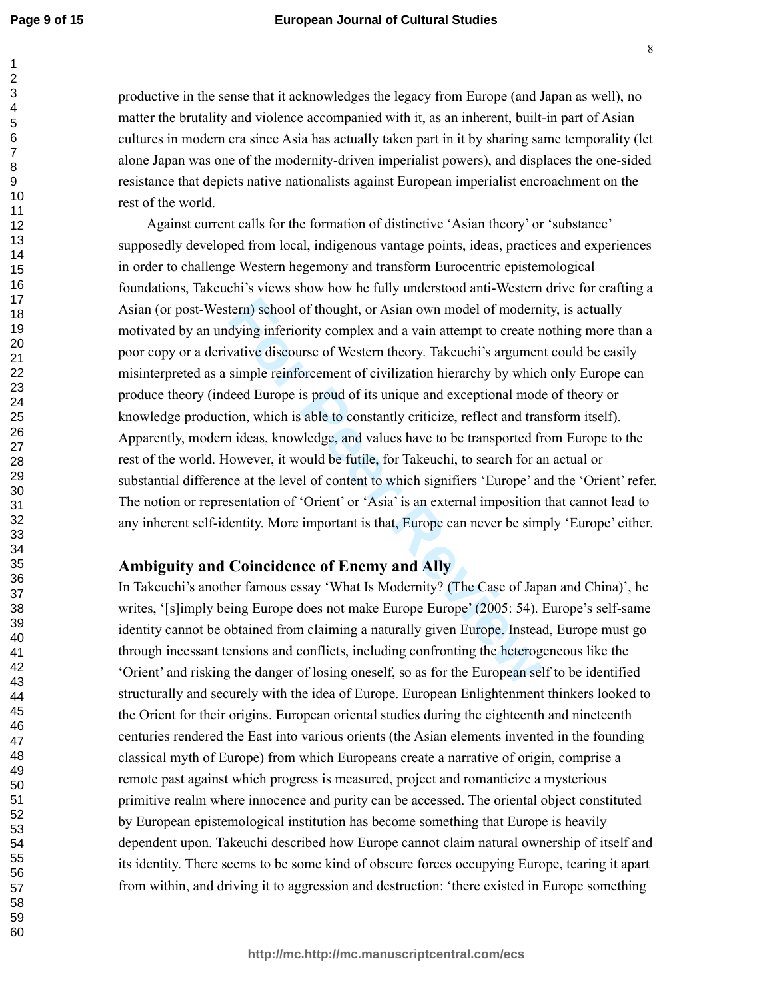#### **European Journal of Cultural Studies**

productive in the sense that it acknowledges the legacy from Europe (and Japan as well), no matter the brutality and violence accompanied with it, as an inherent, built-in part of Asian cultures in modern era since Asia has actually taken part in it by sharing same temporality (let alone Japan was one of the modernity-driven imperialist powers), and displaces the one-sided resistance that depicts native nationalists against European imperialist encroachment on the rest of the world.

tern) school of thought, or Asian own model of modern<br>dying inferiority complex and a vain attempt to create n<br>diving inferiority complex and a vain attempt to create n<br>vative discourse of Western theory. Takeuchi's argume Against current calls for the formation of distinctive 'Asian theory' or 'substance' supposedly developed from local, indigenous vantage points, ideas, practices and experiences in order to challenge Western hegemony and transform Eurocentric epistemological foundations, Takeuchi's views show how he fully understood anti-Western drive for crafting a Asian (or post-Western) school of thought, or Asian own model of modernity, is actually motivated by an undying inferiority complex and a vain attempt to create nothing more than a poor copy or a derivative discourse of Western theory. Takeuchi's argument could be easily misinterpreted as a simple reinforcement of civilization hierarchy by which only Europe can produce theory (indeed Europe is proud of its unique and exceptional mode of theory or knowledge production, which is able to constantly criticize, reflect and transform itself). Apparently, modern ideas, knowledge, and values have to be transported from Europe to the rest of the world. However, it would be futile, for Takeuchi, to search for an actual or substantial difference at the level of content to which signifiers 'Europe' and the 'Orient' refer. The notion or representation of 'Orient' or 'Asia' is an external imposition that cannot lead to any inherent self-identity. More important is that, Europe can never be simply 'Europe' either.

## **Ambiguity and Coincidence of Enemy and Ally**

In Takeuchi's another famous essay 'What Is Modernity? (The Case of Japan and China)', he writes, '[s]imply being Europe does not make Europe Europe' (2005: 54). Europe's self-same identity cannot be obtained from claiming a naturally given Europe. Instead, Europe must go through incessant tensions and conflicts, including confronting the heterogeneous like the 'Orient' and risking the danger of losing oneself, so as for the European self to be identified structurally and securely with the idea of Europe. European Enlightenment thinkers looked to the Orient for their origins. European oriental studies during the eighteenth and nineteenth centuries rendered the East into various orients (the Asian elements invented in the founding classical myth of Europe) from which Europeans create a narrative of origin, comprise a remote past against which progress is measured, project and romanticize a mysterious primitive realm where innocence and purity can be accessed. The oriental object constituted by European epistemological institution has become something that Europe is heavily dependent upon. Takeuchi described how Europe cannot claim natural ownership of itself and its identity. There seems to be some kind of obscure forces occupying Europe, tearing it apart from within, and driving it to aggression and destruction: 'there existed in Europe something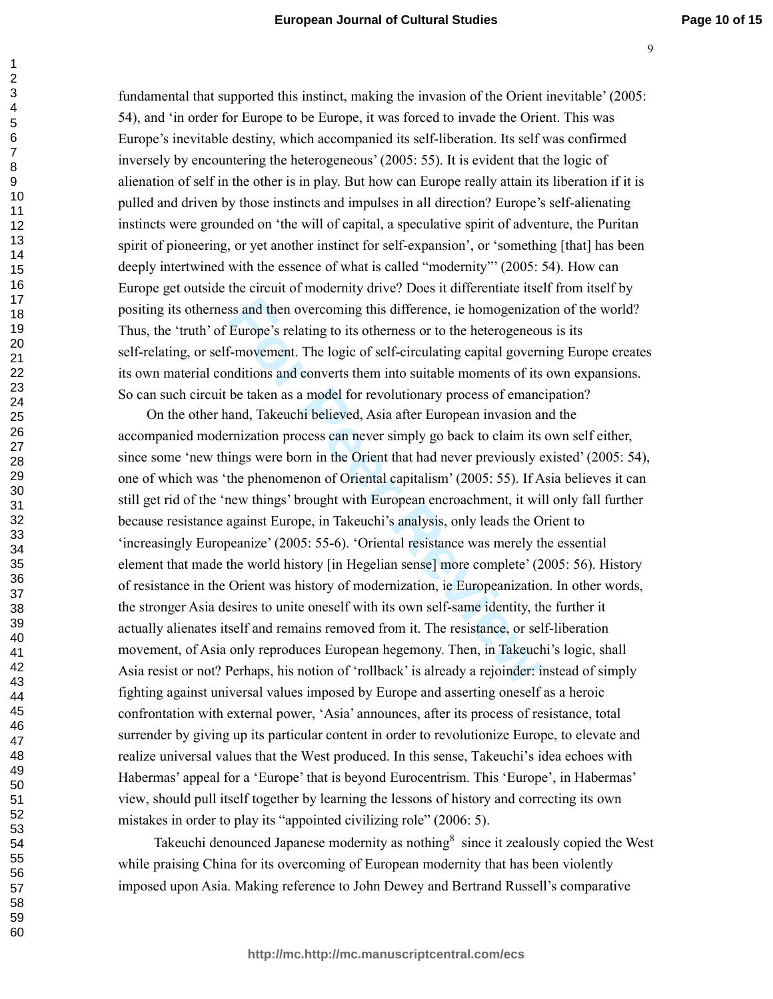fundamental that supported this instinct, making the invasion of the Orient inevitable' (2005: 54), and 'in order for Europe to be Europe, it was forced to invade the Orient. This was Europe's inevitable destiny, which accompanied its self-liberation. Its self was confirmed inversely by encountering the heterogeneous' (2005: 55). It is evident that the logic of alienation of self in the other is in play. But how can Europe really attain its liberation if it is pulled and driven by those instincts and impulses in all direction? Europe's self-alienating instincts were grounded on 'the will of capital, a speculative spirit of adventure, the Puritan spirit of pioneering, or yet another instinct for self-expansion', or 'something [that] has been deeply intertwined with the essence of what is called "modernity"' (2005: 54). How can Europe get outside the circuit of modernity drive? Does it differentiate itself from itself by positing its otherness and then overcoming this difference, ie homogenization of the world? Thus, the 'truth' of Europe's relating to its otherness or to the heterogeneous is its self-relating, or self-movement. The logic of self-circulating capital governing Europe creates its own material conditions and converts them into suitable moments of its own expansions. So can such circuit be taken as a model for revolutionary process of emancipation?

ss and then overcoming this difference, ie homogenizati<br>Europe's relating to its otherness or to the heterogeneou<br>F-movement. The logic of self-circulating capital govern<br>ditions and converts them into suitable moments of On the other hand, Takeuchi believed, Asia after European invasion and the accompanied modernization process can never simply go back to claim its own self either, since some 'new things were born in the Orient that had never previously existed' (2005: 54), one of which was 'the phenomenon of Oriental capitalism' (2005: 55). If Asia believes it can still get rid of the 'new things' brought with European encroachment, it will only fall further because resistance against Europe, in Takeuchi's analysis, only leads the Orient to 'increasingly Europeanize' (2005: 55-6). 'Oriental resistance was merely the essential element that made the world history [in Hegelian sense] more complete' (2005: 56). History of resistance in the Orient was history of modernization, ie Europeanization. In other words, the stronger Asia desires to unite oneself with its own self-same identity, the further it actually alienates itself and remains removed from it. The resistance, or self-liberation movement, of Asia only reproduces European hegemony. Then, in Takeuchi's logic, shall Asia resist or not? Perhaps, his notion of 'rollback' is already a rejoinder: instead of simply fighting against universal values imposed by Europe and asserting oneself as a heroic confrontation with external power, 'Asia' announces, after its process of resistance, total surrender by giving up its particular content in order to revolutionize Europe, to elevate and realize universal values that the West produced. In this sense, Takeuchi's idea echoes with Habermas' appeal for a 'Europe' that is beyond Eurocentrism. This 'Europe', in Habermas' view, should pull itself together by learning the lessons of history and correcting its own mistakes in order to play its "appointed civilizing role" (2006: 5).

Takeuchi denounced Japanese modernity as nothing<sup>8</sup> since it zealously copied the West while praising China for its overcoming of European modernity that has been violently imposed upon Asia. Making reference to John Dewey and Bertrand Russell's comparative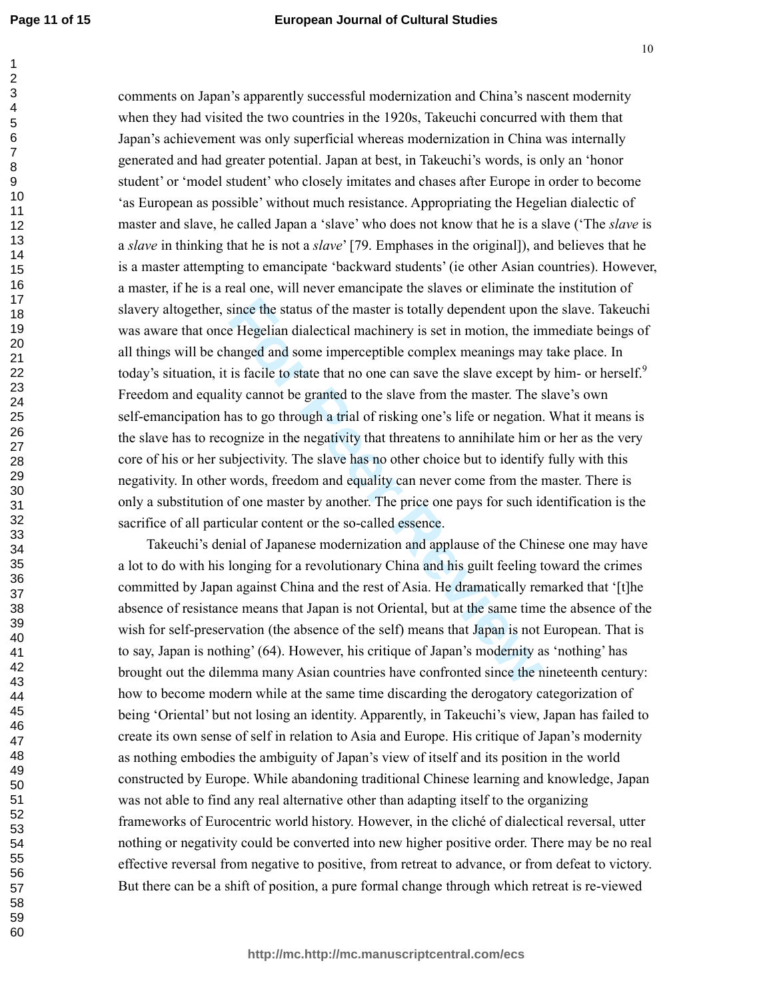since the status of the master is totally dependent upon the Hegelian dialectical machinery is set in motion, the in anged and some imperceptible complex meanings may is facile to state that no one can save the slave excep comments on Japan's apparently successful modernization and China's nascent modernity when they had visited the two countries in the 1920s, Takeuchi concurred with them that Japan's achievement was only superficial whereas modernization in China was internally generated and had greater potential. Japan at best, in Takeuchi's words, is only an 'honor student' or 'model student' who closely imitates and chases after Europe in order to become 'as European as possible' without much resistance. Appropriating the Hegelian dialectic of master and slave, he called Japan a 'slave' who does not know that he is a slave ('The *slave* is a *slave* in thinking that he is not a *slave*' [79. Emphases in the original]), and believes that he is a master attempting to emancipate 'backward students' (ie other Asian countries). However, a master, if he is a real one, will never emancipate the slaves or eliminate the institution of slavery altogether, since the status of the master is totally dependent upon the slave. Takeuchi was aware that once Hegelian dialectical machinery is set in motion, the immediate beings of all things will be changed and some imperceptible complex meanings may take place. In today's situation, it is facile to state that no one can save the slave except by him- or herself.<sup>9</sup> Freedom and equality cannot be granted to the slave from the master. The slave's own self-emancipation has to go through a trial of risking one's life or negation. What it means is the slave has to recognize in the negativity that threatens to annihilate him or her as the very core of his or her subjectivity. The slave has no other choice but to identify fully with this negativity. In other words, freedom and equality can never come from the master. There is only a substitution of one master by another. The price one pays for such identification is the sacrifice of all particular content or the so-called essence.

Takeuchi's denial of Japanese modernization and applause of the Chinese one may have a lot to do with his longing for a revolutionary China and his guilt feeling toward the crimes committed by Japan against China and the rest of Asia. He dramatically remarked that '[t]he absence of resistance means that Japan is not Oriental, but at the same time the absence of the wish for self-preservation (the absence of the self) means that Japan is not European. That is to say, Japan is nothing' (64). However, his critique of Japan's modernity as 'nothing' has brought out the dilemma many Asian countries have confronted since the nineteenth century: how to become modern while at the same time discarding the derogatory categorization of being 'Oriental' but not losing an identity. Apparently, in Takeuchi's view, Japan has failed to create its own sense of self in relation to Asia and Europe. His critique of Japan's modernity as nothing embodies the ambiguity of Japan's view of itself and its position in the world constructed by Europe. While abandoning traditional Chinese learning and knowledge, Japan was not able to find any real alternative other than adapting itself to the organizing frameworks of Eurocentric world history. However, in the cliché of dialectical reversal, utter nothing or negativity could be converted into new higher positive order. There may be no real effective reversal from negative to positive, from retreat to advance, or from defeat to victory. But there can be a shift of position, a pure formal change through which retreat is re-viewed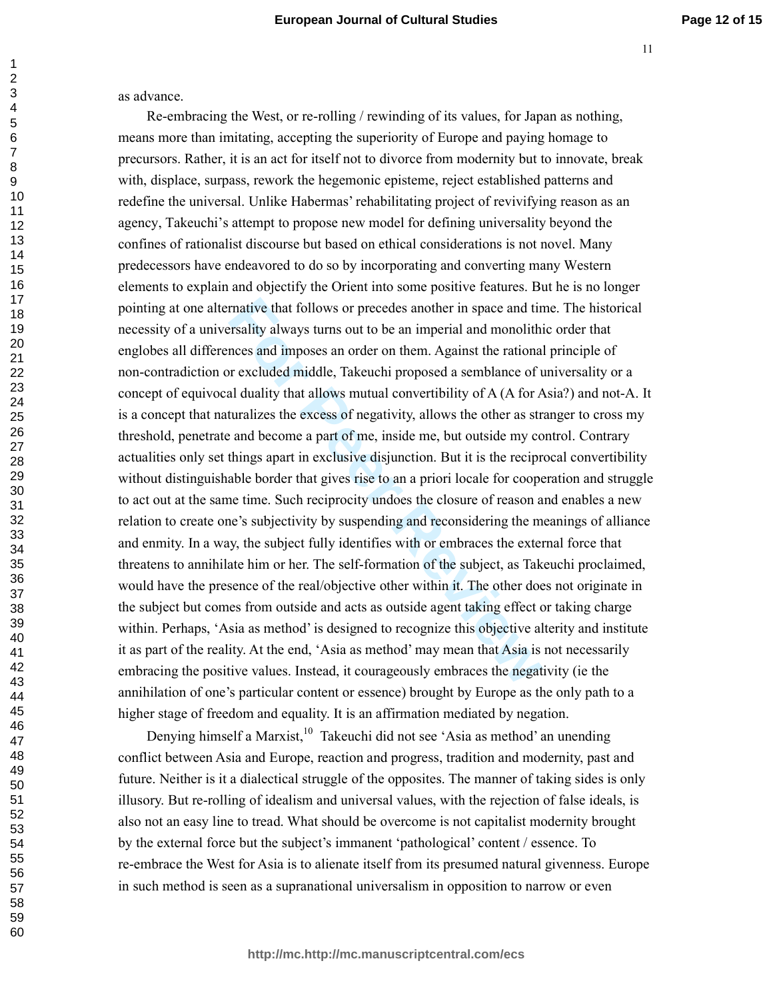as advance.

rnative that follows or precedes another in space and tiresality always turns out to be an imperial and monolithinces and imposes an order on them. Against the rational revaluded middle, Takeuchi proposed a semblance of th Re-embracing the West, or re-rolling / rewinding of its values, for Japan as nothing, means more than imitating, accepting the superiority of Europe and paying homage to precursors. Rather, it is an act for itself not to divorce from modernity but to innovate, break with, displace, surpass, rework the hegemonic episteme, reject established patterns and redefine the universal. Unlike Habermas' rehabilitating project of revivifying reason as an agency, Takeuchi's attempt to propose new model for defining universality beyond the confines of rationalist discourse but based on ethical considerations is not novel. Many predecessors have endeavored to do so by incorporating and converting many Western elements to explain and objectify the Orient into some positive features. But he is no longer pointing at one alternative that follows or precedes another in space and time. The historical necessity of a universality always turns out to be an imperial and monolithic order that englobes all differences and imposes an order on them. Against the rational principle of non-contradiction or excluded middle, Takeuchi proposed a semblance of universality or a concept of equivocal duality that allows mutual convertibility of A (A for Asia?) and not-A. It is a concept that naturalizes the excess of negativity, allows the other as stranger to cross my threshold, penetrate and become a part of me, inside me, but outside my control. Contrary actualities only set things apart in exclusive disjunction. But it is the reciprocal convertibility without distinguishable border that gives rise to an a priori locale for cooperation and struggle to act out at the same time. Such reciprocity undoes the closure of reason and enables a new relation to create one's subjectivity by suspending and reconsidering the meanings of alliance and enmity. In a way, the subject fully identifies with or embraces the external force that threatens to annihilate him or her. The self-formation of the subject, as Takeuchi proclaimed, would have the presence of the real/objective other within it. The other does not originate in the subject but comes from outside and acts as outside agent taking effect or taking charge within. Perhaps, 'Asia as method' is designed to recognize this objective alterity and institute it as part of the reality. At the end, 'Asia as method' may mean that Asia is not necessarily embracing the positive values. Instead, it courageously embraces the negativity (ie the annihilation of one's particular content or essence) brought by Europe as the only path to a higher stage of freedom and equality. It is an affirmation mediated by negation.

Denying himself a Marxist, $10$  Takeuchi did not see 'Asia as method' an unending conflict between Asia and Europe, reaction and progress, tradition and modernity, past and future. Neither is it a dialectical struggle of the opposites. The manner of taking sides is only illusory. But re-rolling of idealism and universal values, with the rejection of false ideals, is also not an easy line to tread. What should be overcome is not capitalist modernity brought by the external force but the subject's immanent 'pathological' content / essence. To re-embrace the West for Asia is to alienate itself from its presumed natural givenness. Europe in such method is seen as a supranational universalism in opposition to narrow or even

**http://mc.http://mc.manuscriptcentral.com/ecs**

 $\mathbf{1}$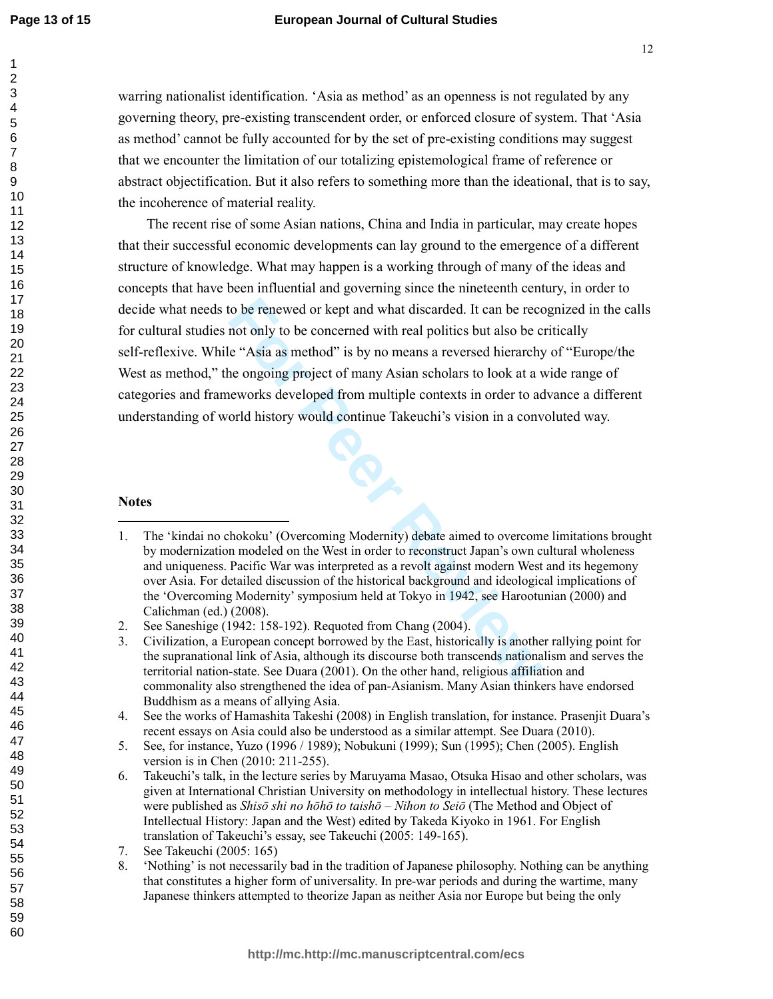#### **European Journal of Cultural Studies**

warring nationalist identification. 'Asia as method' as an openness is not regulated by any governing theory, pre-existing transcendent order, or enforced closure of system. That 'Asia as method' cannot be fully accounted for by the set of pre-existing conditions may suggest that we encounter the limitation of our totalizing epistemological frame of reference or abstract objectification. But it also refers to something more than the ideational, that is to say, the incoherence of material reality.

to be renewed or kept and what discarded. It can be reconstrant only to be concerned with real politics but also be c<br>
e "Asia as method" is by no means a reversed hierarchy<br>
ne ongoing project of many Asian scholars to lo The recent rise of some Asian nations, China and India in particular, may create hopes that their successful economic developments can lay ground to the emergence of a different structure of knowledge. What may happen is a working through of many of the ideas and concepts that have been influential and governing since the nineteenth century, in order to decide what needs to be renewed or kept and what discarded. It can be recognized in the calls for cultural studies not only to be concerned with real politics but also be critically self-reflexive. While "Asia as method" is by no means a reversed hierarchy of "Europe/the West as method," the ongoing project of many Asian scholars to look at a wide range of categories and frameworks developed from multiple contexts in order to advance a different understanding of world history would continue Takeuchi's vision in a convoluted way.

#### **Notes**

<sup>1.</sup> The 'kindai no chokoku' (Overcoming Modernity) debate aimed to overcome limitations brought by modernization modeled on the West in order to reconstruct Japan's own cultural wholeness and uniqueness. Pacific War was interpreted as a revolt against modern West and its hegemony over Asia. For detailed discussion of the historical background and ideological implications of the 'Overcoming Modernity' symposium held at Tokyo in 1942, see Harootunian (2000) and Calichman (ed.) (2008).

<sup>2.</sup> See Saneshige (1942: 158-192). Requoted from Chang (2004).

<sup>3.</sup> Civilization, a European concept borrowed by the East, historically is another rallying point for the supranational link of Asia, although its discourse both transcends nationalism and serves the territorial nation-state. See Duara (2001). On the other hand, religious affiliation and commonality also strengthened the idea of pan-Asianism. Many Asian thinkers have endorsed Buddhism as a means of allying Asia.

<sup>4.</sup> See the works of Hamashita Takeshi (2008) in English translation, for instance. Prasenjit Duara's recent essays on Asia could also be understood as a similar attempt. See Duara (2010).

<sup>5.</sup> See, for instance, Yuzo (1996 / 1989); Nobukuni (1999); Sun (1995); Chen (2005). English version is in Chen (2010: 211-255).

<sup>6.</sup> Takeuchi's talk, in the lecture series by Maruyama Masao, Otsuka Hisao and other scholars, was given at International Christian University on methodology in intellectual history. These lectures were published as *Shisō shi no hōhō to taishō – Nihon to Seiō* (The Method and Object of Intellectual History: Japan and the West) edited by Takeda Kiyoko in 1961. For English translation of Takeuchi's essay, see Takeuchi (2005: 149-165).

<sup>7.</sup> See Takeuchi (2005: 165)

<sup>8. &#</sup>x27;Nothing' is not necessarily bad in the tradition of Japanese philosophy. Nothing can be anything that constitutes a higher form of universality. In pre-war periods and during the wartime, many Japanese thinkers attempted to theorize Japan as neither Asia nor Europe but being the only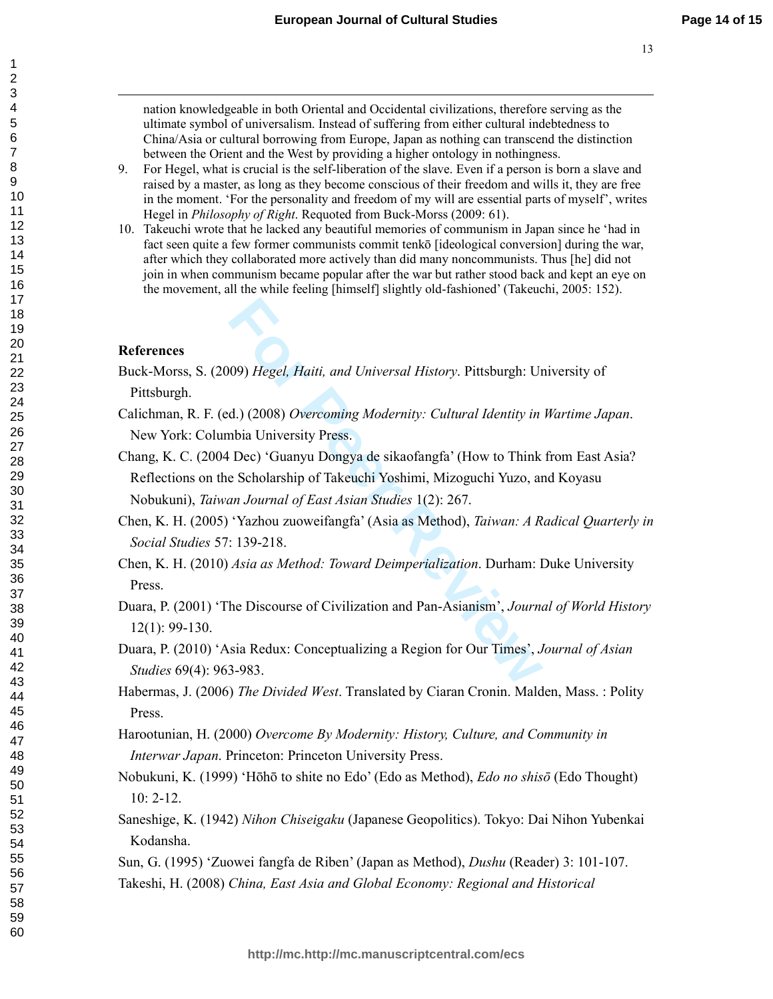nation knowledgeable in both Oriental and Occidental civilizations, therefore serving as the ultimate symbol of universalism. Instead of suffering from either cultural indebtedness to China/Asia or cultural borrowing from Europe, Japan as nothing can transcend the distinction between the Orient and the West by providing a higher ontology in nothingness.

- 9. For Hegel, what is crucial is the self-liberation of the slave. Even if a person is born a slave and raised by a master, as long as they become conscious of their freedom and wills it, they are free in the moment. 'For the personality and freedom of my will are essential parts of myself', writes Hegel in *Philosophy of Right*. Requoted from Buck-Morss (2009: 61).
- 10. Takeuchi wrote that he lacked any beautiful memories of communism in Japan since he 'had in fact seen quite a few former communists commit tenkō [ideological conversion] during the war, after which they collaborated more actively than did many noncommunists. Thus [he] did not join in when communism became popular after the war but rather stood back and kept an eye on the movement, all the while feeling [himself] slightly old-fashioned' (Takeuchi, 2005: 152).

### **References**

- Buck-Morss, S. (2009) *Hegel, Haiti, and Universal History*. Pittsburgh: University of Pittsburgh.
- Calichman, R. F. (ed.) (2008) *Overcoming Modernity: Cultural Identity in Wartime Japan*. New York: Columbia University Press.
- **Formal System Control of the Universal History. Pittsburgh: Universal, Haiti, and Universal History. Pittsburgh: University Press.**<br> **Formal Diversity Press.**<br> **Formal Peer Collary System Control System Control System Pre** Chang, K. C. (2004 Dec) 'Guanyu Dongya de sikaofangfa' (How to Think from East Asia? Reflections on the Scholarship of Takeuchi Yoshimi, Mizoguchi Yuzo, and Koyasu Nobukuni), *Taiwan Journal of East Asian Studies* 1(2): 267.
- Chen, K. H. (2005) 'Yazhou zuoweifangfa' (Asia as Method), *Taiwan: A Radical Quarterly in Social Studies* 57: 139-218.
- Chen, K. H. (2010) *Asia as Method: Toward Deimperialization*. Durham: Duke University Press.
- Duara, P. (2001) 'The Discourse of Civilization and Pan-Asianism', *Journal of World History* 12(1): 99-130.
- Duara, P. (2010) 'Asia Redux: Conceptualizing a Region for Our Times', *Journal of Asian Studies* 69(4): 963-983.
- Habermas, J. (2006) *The Divided West*. Translated by Ciaran Cronin. Malden, Mass. : Polity Press.
- Harootunian, H. (2000) *Overcome By Modernity: History, Culture, and Community in Interwar Japan*. Princeton: Princeton University Press.
- Nobukuni, K. (1999) 'Hōhō to shite no Edo' (Edo as Method), *Edo no shisō* (Edo Thought) 10: 2-12.
- Saneshige, K. (1942) *Nihon Chiseigaku* (Japanese Geopolitics). Tokyo: Dai Nihon Yubenkai Kodansha.
- Sun, G. (1995) 'Zuowei fangfa de Riben' (Japan as Method), *Dushu* (Reader) 3: 101-107.
- Takeshi, H. (2008) *China, East Asia and Global Economy: Regional and Historical*

 $\mathbf{1}$